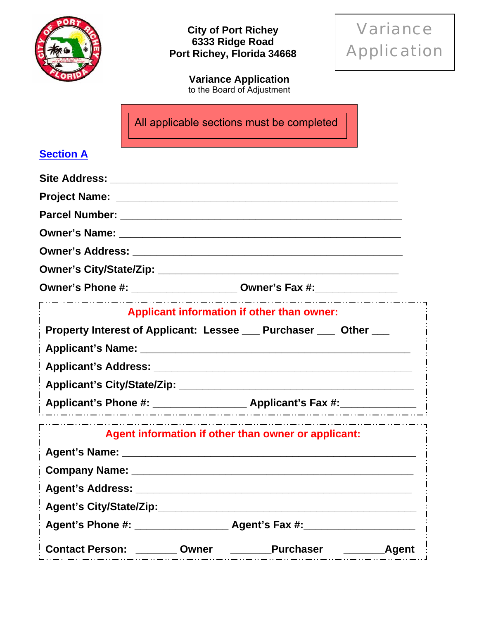

Variance Application

**Variance Application**  to the Board of Adjustment

All applicable sections must be completed

### **Section A**

| Owner's Phone #: ________________________ Owner's Fax #:________________________ |                                                                                 |  |
|----------------------------------------------------------------------------------|---------------------------------------------------------------------------------|--|
|                                                                                  | _ __ __ __ __ __ __ __ __ __ __ _<br>Applicant information if other than owner: |  |
| Property Interest of Applicant: Lessee ___ Purchaser ___ Other ___               |                                                                                 |  |
|                                                                                  |                                                                                 |  |
|                                                                                  |                                                                                 |  |
|                                                                                  |                                                                                 |  |
|                                                                                  |                                                                                 |  |
|                                                                                  | Agent information if other than owner or applicant:                             |  |
|                                                                                  |                                                                                 |  |
|                                                                                  |                                                                                 |  |
|                                                                                  |                                                                                 |  |
|                                                                                  |                                                                                 |  |
|                                                                                  |                                                                                 |  |
| Contact Person: ________ Owner _________ Purchaser ___________ Agent             |                                                                                 |  |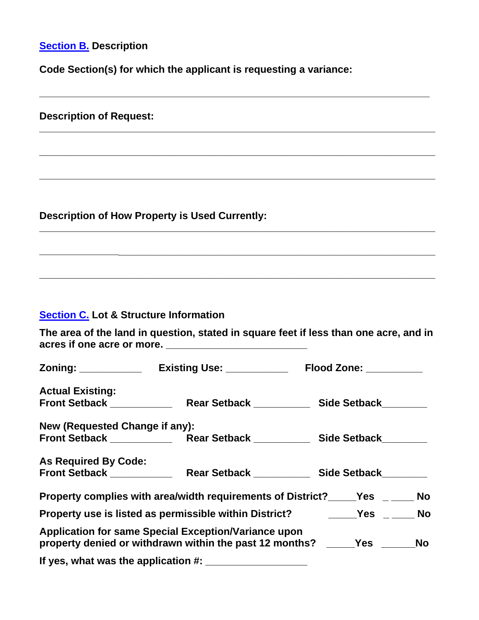# **Section B. Description**

**Code Section(s) for which the applicant is requesting a variance:** 

**\_\_\_\_\_\_\_\_\_\_\_\_\_\_\_\_\_\_\_\_\_\_\_\_\_\_\_\_\_\_\_\_\_\_\_\_\_\_\_\_\_\_\_\_\_\_\_\_\_\_\_\_\_\_\_\_\_\_\_\_\_\_\_\_\_\_\_\_\_** 

| <b>Description of Request:</b>                    |                                                                                                                                 |           |
|---------------------------------------------------|---------------------------------------------------------------------------------------------------------------------------------|-----------|
|                                                   |                                                                                                                                 |           |
|                                                   | <b>Description of How Property is Used Currently:</b>                                                                           |           |
|                                                   |                                                                                                                                 |           |
| <b>Section C. Lot &amp; Structure Information</b> |                                                                                                                                 |           |
|                                                   | The area of the land in question, stated in square feet if less than one acre, and in                                           |           |
|                                                   |                                                                                                                                 |           |
| <b>Actual Existing:</b>                           |                                                                                                                                 |           |
| New (Requested Change if any):                    |                                                                                                                                 |           |
| <b>As Required By Code:</b>                       |                                                                                                                                 |           |
|                                                   | Property complies with area/width requirements of District?_____Yes ______ No                                                   |           |
|                                                   | Property use is listed as permissible within District? The Many Yes                                                             | <b>No</b> |
|                                                   | Application for same Special Exception/Variance upon<br>property denied or withdrawn within the past 12 months? _____Yes ______ | <b>No</b> |
|                                                   | If yes, what was the application #: ____________________                                                                        |           |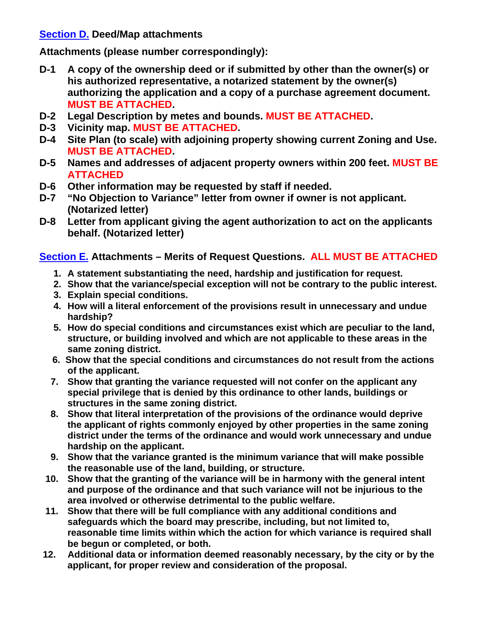#### **Section D. Deed/Map attachments**

**Attachments (please number correspondingly):** 

- **D-1 A copy of the ownership deed or if submitted by other than the owner(s) or his authorized representative, a notarized statement by the owner(s) authorizing the application and a copy of a purchase agreement document. MUST BE ATTACHED.**
- **D-2 Legal Description by metes and bounds. MUST BE ATTACHED.**
- **D-3 Vicinity map. MUST BE ATTACHED.**
- **D-4 Site Plan (to scale) with adjoining property showing current Zoning and Use. MUST BE ATTACHED.**
- **D-5 Names and addresses of adjacent property owners within 200 feet. MUST BE ATTACHED**
- **D-6 Other information may be requested by staff if needed.**
- **D-7 "No Objection to Variance" letter from owner if owner is not applicant. (Notarized letter)**
- **D-8 Letter from applicant giving the agent authorization to act on the applicants behalf. (Notarized letter)**

### **Section E. Attachments – Merits of Request Questions. ALL MUST BE ATTACHED**

- **1. A statement substantiating the need, hardship and justification for request.**
- **2. Show that the variance/special exception will not be contrary to the public interest.**
- **3. Explain special conditions.**
- **4. How will a literal enforcement of the provisions result in unnecessary and undue hardship?**
- **5. How do special conditions and circumstances exist which are peculiar to the land, structure, or building involved and which are not applicable to these areas in the same zoning district.**
- **6. Show that the special conditions and circumstances do not result from the actions of the applicant.**
- **7. Show that granting the variance requested will not confer on the applicant any special privilege that is denied by this ordinance to other lands, buildings or structures in the same zoning district.**
- **8. Show that literal interpretation of the provisions of the ordinance would deprive the applicant of rights commonly enjoyed by other properties in the same zoning district under the terms of the ordinance and would work unnecessary and undue hardship on the applicant.**
- **9. Show that the variance granted is the minimum variance that will make possible the reasonable use of the land, building, or structure.**
- **10. Show that the granting of the variance will be in harmony with the general intent and purpose of the ordinance and that such variance will not be injurious to the area involved or otherwise detrimental to the public welfare.**
- **11. Show that there will be full compliance with any additional conditions and safeguards which the board may prescribe, including, but not limited to, reasonable time limits within which the action for which variance is required shall be begun or completed, or both.**
- **12. Additional data or information deemed reasonably necessary, by the city or by the applicant, for proper review and consideration of the proposal.**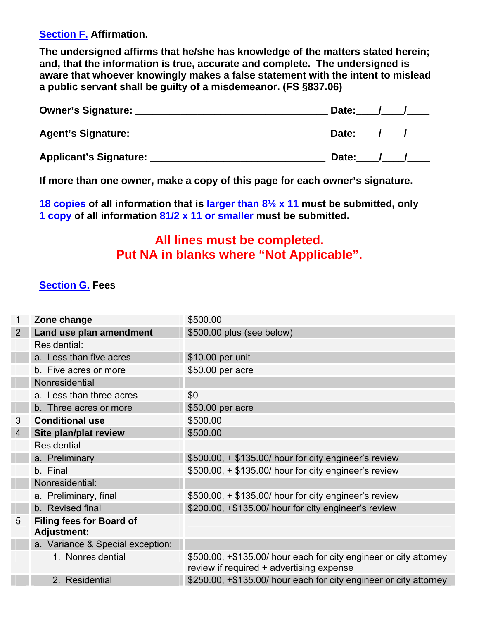**Section F. Affirmation.** 

**The undersigned affirms that he/she has knowledge of the matters stated herein; and, that the information is true, accurate and complete. The undersigned is aware that whoever knowingly makes a false statement with the intent to mislead a public servant shall be guilty of a misdemeanor. (FS §837.06)** 

| <b>Owner's Signature:</b> | Date:        |  |
|---------------------------|--------------|--|
| <b>Agent's Signature:</b> | <b>Date:</b> |  |
| Applicant's Signature:    | Date:        |  |

**If more than one owner, make a copy of this page for each owner's signature.** 

**18 copies of all information that is larger than 8½ x 11 must be submitted, only 1 copy of all information 81/2 x 11 or smaller must be submitted.** 

## **All lines must be completed. Put NA in blanks where "Not Applicable".**

#### **Section G. Fees**

| 1              | Zone change                                           | \$500.00                                                                                                      |
|----------------|-------------------------------------------------------|---------------------------------------------------------------------------------------------------------------|
| $\overline{2}$ | Land use plan amendment                               | \$500.00 plus (see below)                                                                                     |
|                | Residential:                                          |                                                                                                               |
|                | a. Less than five acres                               | \$10.00 per unit                                                                                              |
|                | b. Five acres or more                                 | \$50.00 per acre                                                                                              |
|                | Nonresidential                                        |                                                                                                               |
|                | a. Less than three acres                              | \$0                                                                                                           |
|                | b. Three acres or more                                | \$50.00 per acre                                                                                              |
| 3              | <b>Conditional use</b>                                | \$500.00                                                                                                      |
| $\overline{4}$ | Site plan/plat review                                 | \$500.00                                                                                                      |
|                | <b>Residential</b>                                    |                                                                                                               |
|                | a. Preliminary                                        | \$500.00, + \$135.00/ hour for city engineer's review                                                         |
|                | b. Final                                              | \$500.00, + \$135.00/ hour for city engineer's review                                                         |
|                | Nonresidential:                                       |                                                                                                               |
|                | a. Preliminary, final                                 | \$500.00, + \$135.00/ hour for city engineer's review                                                         |
|                | b. Revised final                                      | \$200.00, +\$135.00/ hour for city engineer's review                                                          |
| 5              | <b>Filing fees for Board of</b><br><b>Adjustment:</b> |                                                                                                               |
|                | a. Variance & Special exception:                      |                                                                                                               |
|                | 1. Nonresidential                                     | \$500.00, +\$135.00/ hour each for city engineer or city attorney<br>review if required + advertising expense |
|                | 2. Residential                                        | \$250.00, +\$135.00/ hour each for city engineer or city attorney                                             |